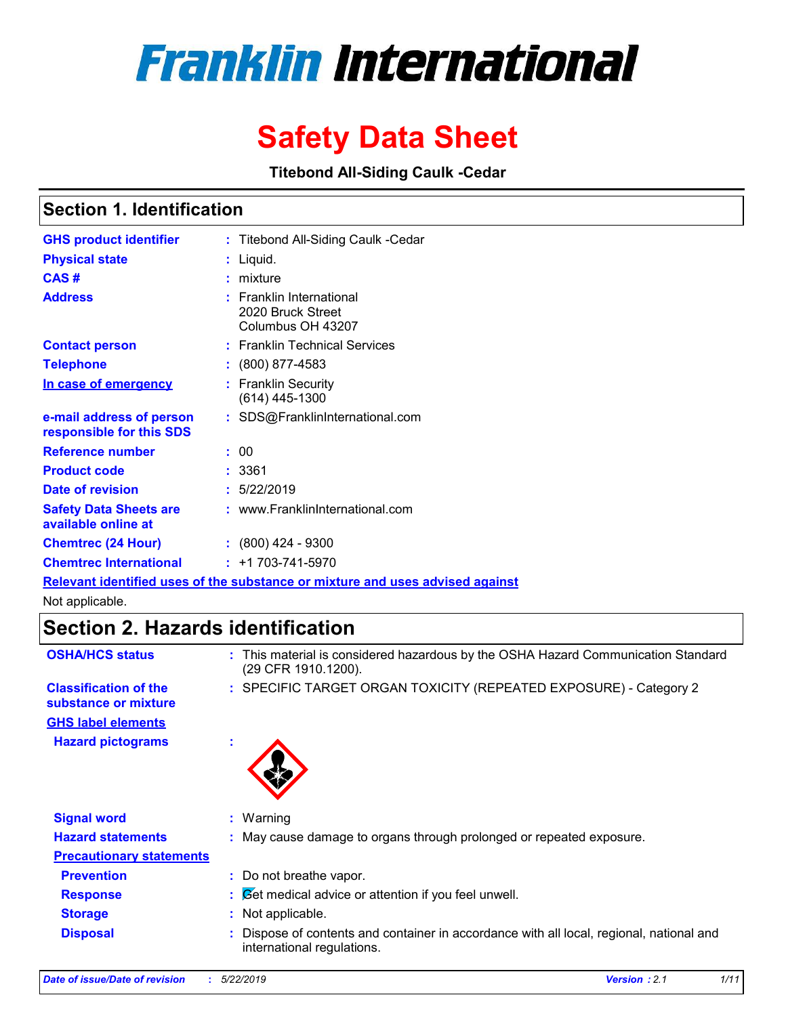# **Franklin International**

## **Safety Data Sheet**

**Titebond All-Siding Caulk -Cedar**

### **Section 1. Identification**

| <b>GHS product identifier</b>                        | : Titebond All-Siding Caulk - Cedar                                           |
|------------------------------------------------------|-------------------------------------------------------------------------------|
| <b>Physical state</b>                                | : Liquid.                                                                     |
| CAS#                                                 | : mixture                                                                     |
| <b>Address</b>                                       | $:$ Franklin International<br>2020 Bruck Street<br>Columbus OH 43207          |
| <b>Contact person</b>                                | : Franklin Technical Services                                                 |
| <b>Telephone</b>                                     | $: (800) 877 - 4583$                                                          |
| In case of emergency                                 | : Franklin Security<br>$(614)$ 445-1300                                       |
| e-mail address of person<br>responsible for this SDS | : SDS@FranklinInternational.com                                               |
| <b>Reference number</b>                              | : 00                                                                          |
| <b>Product code</b>                                  | : 3361                                                                        |
| Date of revision                                     | : 5/22/2019                                                                   |
| <b>Safety Data Sheets are</b><br>available online at | : www.FranklinInternational.com                                               |
| <b>Chemtrec (24 Hour)</b>                            | $: (800)$ 424 - 9300                                                          |
| <b>Chemtrec International</b>                        | $: +1703 - 741 - 5970$                                                        |
|                                                      | Relevant identified uses of the substance or mixture and uses advised against |

Not applicable.

### **Section 2. Hazards identification**

| <b>OSHA/HCS status</b>                               | : This material is considered hazardous by the OSHA Hazard Communication Standard<br>(29 CFR 1910.1200).             |
|------------------------------------------------------|----------------------------------------------------------------------------------------------------------------------|
| <b>Classification of the</b><br>substance or mixture | : SPECIFIC TARGET ORGAN TOXICITY (REPEATED EXPOSURE) - Category 2                                                    |
| <b>GHS label elements</b>                            |                                                                                                                      |
| <b>Hazard pictograms</b>                             | ٠                                                                                                                    |
| <b>Signal word</b>                                   | : Warning                                                                                                            |
| <b>Hazard statements</b>                             | : May cause damage to organs through prolonged or repeated exposure.                                                 |
| <b>Precautionary statements</b>                      |                                                                                                                      |
| <b>Prevention</b>                                    | : Do not breathe vapor.                                                                                              |
| <b>Response</b>                                      | Set medical advice or attention if you feel unwell.<br>t.                                                            |
| <b>Storage</b>                                       | Not applicable.<br>t.                                                                                                |
| <b>Disposal</b>                                      | Dispose of contents and container in accordance with all local, regional, national and<br>international regulations. |
|                                                      |                                                                                                                      |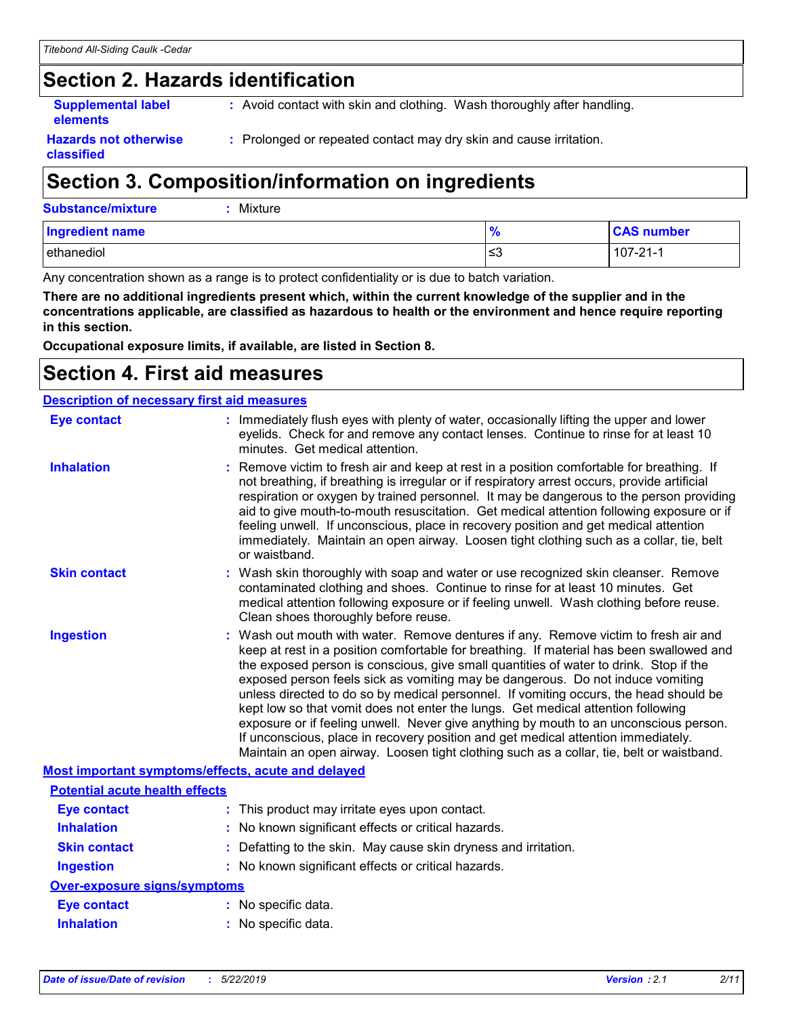### **Section 2. Hazards identification**

**Supplemental label elements**

**:** Avoid contact with skin and clothing. Wash thoroughly after handling.

**Hazards not otherwise classified**

**:** Prolonged or repeated contact may dry skin and cause irritation.

### **Section 3. Composition/information on ingredients**

| <b>Ingredient name</b> | 70  | <b>CAS number</b> |
|------------------------|-----|-------------------|
| ethanediol             | ∣≤3 | $107 - 21 - 1$    |

Any concentration shown as a range is to protect confidentiality or is due to batch variation.

**There are no additional ingredients present which, within the current knowledge of the supplier and in the concentrations applicable, are classified as hazardous to health or the environment and hence require reporting in this section.**

**Occupational exposure limits, if available, are listed in Section 8.**

### **Section 4. First aid measures**

| <b>Description of necessary first aid measures</b> |                                                                                                                                                                                                                                                                                                                                                                                                                                                                                                                                                                                                                                                                                                                                                                                                                   |  |  |  |
|----------------------------------------------------|-------------------------------------------------------------------------------------------------------------------------------------------------------------------------------------------------------------------------------------------------------------------------------------------------------------------------------------------------------------------------------------------------------------------------------------------------------------------------------------------------------------------------------------------------------------------------------------------------------------------------------------------------------------------------------------------------------------------------------------------------------------------------------------------------------------------|--|--|--|
| <b>Eye contact</b>                                 | : Immediately flush eyes with plenty of water, occasionally lifting the upper and lower<br>eyelids. Check for and remove any contact lenses. Continue to rinse for at least 10<br>minutes. Get medical attention.                                                                                                                                                                                                                                                                                                                                                                                                                                                                                                                                                                                                 |  |  |  |
| <b>Inhalation</b>                                  | : Remove victim to fresh air and keep at rest in a position comfortable for breathing. If<br>not breathing, if breathing is irregular or if respiratory arrest occurs, provide artificial<br>respiration or oxygen by trained personnel. It may be dangerous to the person providing<br>aid to give mouth-to-mouth resuscitation. Get medical attention following exposure or if<br>feeling unwell. If unconscious, place in recovery position and get medical attention<br>immediately. Maintain an open airway. Loosen tight clothing such as a collar, tie, belt<br>or waistband.                                                                                                                                                                                                                              |  |  |  |
| <b>Skin contact</b>                                | : Wash skin thoroughly with soap and water or use recognized skin cleanser. Remove<br>contaminated clothing and shoes. Continue to rinse for at least 10 minutes. Get<br>medical attention following exposure or if feeling unwell. Wash clothing before reuse.<br>Clean shoes thoroughly before reuse.                                                                                                                                                                                                                                                                                                                                                                                                                                                                                                           |  |  |  |
| <b>Ingestion</b>                                   | : Wash out mouth with water. Remove dentures if any. Remove victim to fresh air and<br>keep at rest in a position comfortable for breathing. If material has been swallowed and<br>the exposed person is conscious, give small quantities of water to drink. Stop if the<br>exposed person feels sick as vomiting may be dangerous. Do not induce vomiting<br>unless directed to do so by medical personnel. If vomiting occurs, the head should be<br>kept low so that vomit does not enter the lungs. Get medical attention following<br>exposure or if feeling unwell. Never give anything by mouth to an unconscious person.<br>If unconscious, place in recovery position and get medical attention immediately.<br>Maintain an open airway. Loosen tight clothing such as a collar, tie, belt or waistband. |  |  |  |
| Most important symptoms/effects, acute and delayed |                                                                                                                                                                                                                                                                                                                                                                                                                                                                                                                                                                                                                                                                                                                                                                                                                   |  |  |  |
| <b>Potential acute health effects</b>              |                                                                                                                                                                                                                                                                                                                                                                                                                                                                                                                                                                                                                                                                                                                                                                                                                   |  |  |  |
| <b>Eye contact</b>                                 | : This product may irritate eyes upon contact.                                                                                                                                                                                                                                                                                                                                                                                                                                                                                                                                                                                                                                                                                                                                                                    |  |  |  |
| <b>Inhalation</b>                                  | : No known significant effects or critical hazards.                                                                                                                                                                                                                                                                                                                                                                                                                                                                                                                                                                                                                                                                                                                                                               |  |  |  |
| <b>Skin contact</b>                                | : Defatting to the skin. May cause skin dryness and irritation.                                                                                                                                                                                                                                                                                                                                                                                                                                                                                                                                                                                                                                                                                                                                                   |  |  |  |
| <b>Ingestion</b>                                   | : No known significant effects or critical hazards.                                                                                                                                                                                                                                                                                                                                                                                                                                                                                                                                                                                                                                                                                                                                                               |  |  |  |
| <b>Over-exposure signs/symptoms</b>                |                                                                                                                                                                                                                                                                                                                                                                                                                                                                                                                                                                                                                                                                                                                                                                                                                   |  |  |  |
| <b>Eye contact</b>                                 | : No specific data.                                                                                                                                                                                                                                                                                                                                                                                                                                                                                                                                                                                                                                                                                                                                                                                               |  |  |  |
| <b>Inhalation</b>                                  | : No specific data.                                                                                                                                                                                                                                                                                                                                                                                                                                                                                                                                                                                                                                                                                                                                                                                               |  |  |  |
|                                                    |                                                                                                                                                                                                                                                                                                                                                                                                                                                                                                                                                                                                                                                                                                                                                                                                                   |  |  |  |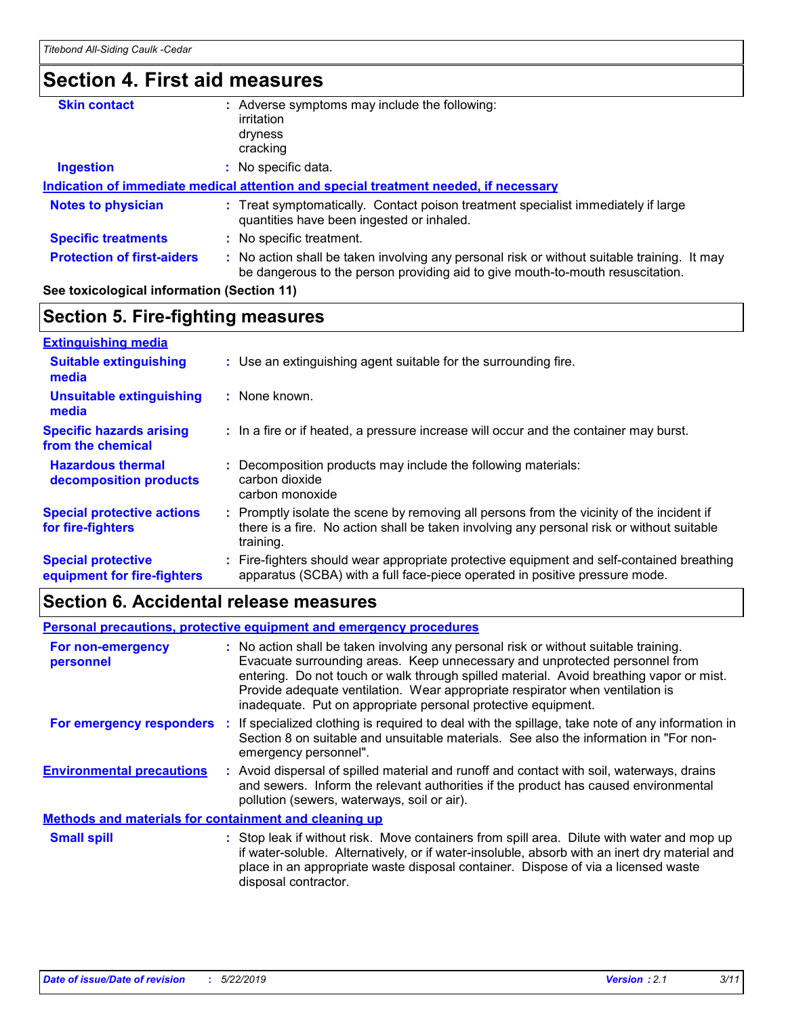### **Section 4. First aid measures**

| <b>Skin contact</b>               | Adverse symptoms may include the following:                                                                                                                                   |
|-----------------------------------|-------------------------------------------------------------------------------------------------------------------------------------------------------------------------------|
|                                   | irritation                                                                                                                                                                    |
|                                   | dryness                                                                                                                                                                       |
|                                   | cracking                                                                                                                                                                      |
| <b>Ingestion</b>                  | No specific data.                                                                                                                                                             |
|                                   | Indication of immediate medical attention and special treatment needed, if necessary                                                                                          |
| <b>Notes to physician</b>         | : Treat symptomatically. Contact poison treatment specialist immediately if large<br>quantities have been ingested or inhaled.                                                |
| <b>Specific treatments</b>        | : No specific treatment.                                                                                                                                                      |
| <b>Protection of first-aiders</b> | : No action shall be taken involving any personal risk or without suitable training. It may<br>be dangerous to the person providing aid to give mouth-to-mouth resuscitation. |
|                                   |                                                                                                                                                                               |

#### **See toxicological information (Section 11)**

#### **Section 5. Fire-fighting measures**

| <b>Extinguishing media</b>                               |                                                                                                                                                                                                     |
|----------------------------------------------------------|-----------------------------------------------------------------------------------------------------------------------------------------------------------------------------------------------------|
| <b>Suitable extinguishing</b><br>media                   | : Use an extinguishing agent suitable for the surrounding fire.                                                                                                                                     |
| <b>Unsuitable extinguishing</b><br>media                 | : None known.                                                                                                                                                                                       |
| <b>Specific hazards arising</b><br>from the chemical     | : In a fire or if heated, a pressure increase will occur and the container may burst.                                                                                                               |
| <b>Hazardous thermal</b><br>decomposition products       | Decomposition products may include the following materials:<br>carbon dioxide<br>carbon monoxide                                                                                                    |
| <b>Special protective actions</b><br>for fire-fighters   | : Promptly isolate the scene by removing all persons from the vicinity of the incident if<br>there is a fire. No action shall be taken involving any personal risk or without suitable<br>training. |
| <b>Special protective</b><br>equipment for fire-fighters | : Fire-fighters should wear appropriate protective equipment and self-contained breathing<br>apparatus (SCBA) with a full face-piece operated in positive pressure mode.                            |

#### **Section 6. Accidental release measures**

#### **Environmental precautions Personal precautions, protective equipment and emergency procedures :** Avoid dispersal of spilled material and runoff and contact with soil, waterways, drains **:** No action shall be taken involving any personal risk or without suitable training. Evacuate surrounding areas. Keep unnecessary and unprotected personnel from entering. Do not touch or walk through spilled material. Avoid breathing vapor or mist. Provide adequate ventilation. Wear appropriate respirator when ventilation is inadequate. Put on appropriate personal protective equipment. and sewers. Inform the relevant authorities if the product has caused environmental pollution (sewers, waterways, soil or air). : Stop leak if without risk. Move containers from spill area. Dilute with water and mop up if water-soluble. Alternatively, or if water-insoluble, absorb with an inert dry material and place in an appropriate waste disposal container. Dispose of via a licensed waste disposal contractor. **Small spill : Methods and materials for containment and cleaning up For non-emergency personnel For emergency responders :** If specialized clothing is required to deal with the spillage, take note of any information in Section 8 on suitable and unsuitable materials. See also the information in "For nonemergency personnel".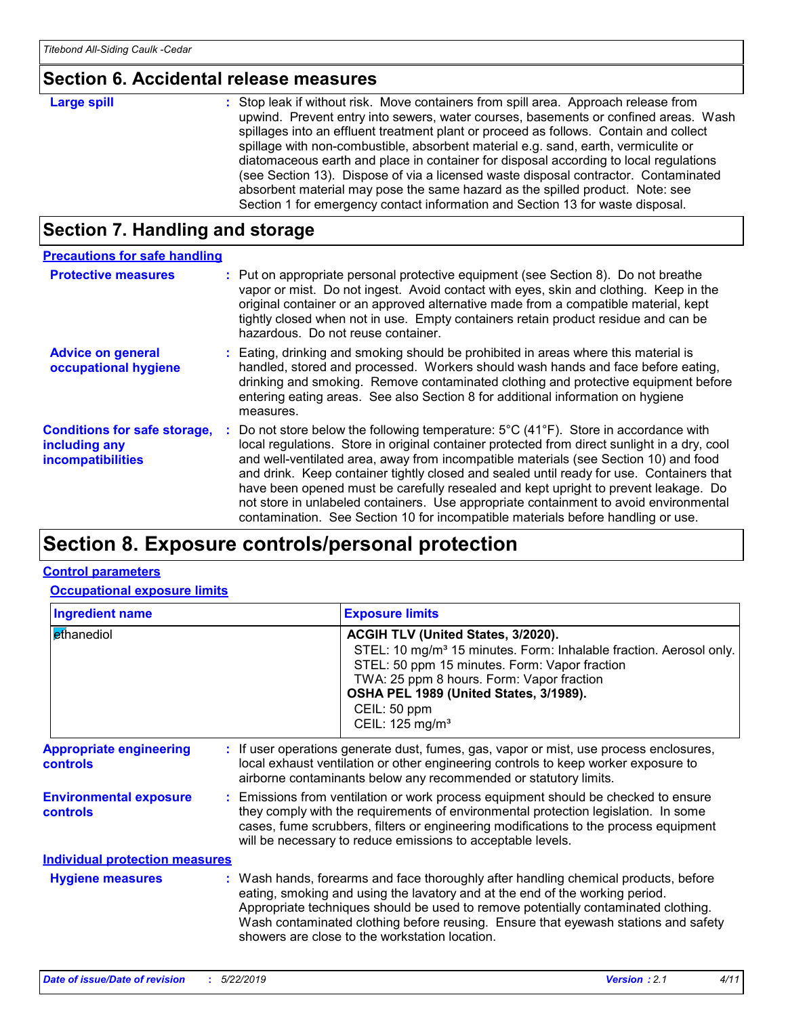### **Section 6. Accidental release measures**

| <b>Large spill</b> | : Stop leak if without risk. Move containers from spill area. Approach release from<br>upwind. Prevent entry into sewers, water courses, basements or confined areas. Wash<br>spillages into an effluent treatment plant or proceed as follows. Contain and collect<br>spillage with non-combustible, absorbent material e.g. sand, earth, vermiculite or<br>diatomaceous earth and place in container for disposal according to local regulations<br>(see Section 13). Dispose of via a licensed waste disposal contractor. Contaminated<br>absorbent material may pose the same hazard as the spilled product. Note: see |
|--------------------|----------------------------------------------------------------------------------------------------------------------------------------------------------------------------------------------------------------------------------------------------------------------------------------------------------------------------------------------------------------------------------------------------------------------------------------------------------------------------------------------------------------------------------------------------------------------------------------------------------------------------|
|                    | Section 1 for emergency contact information and Section 13 for waste disposal.                                                                                                                                                                                                                                                                                                                                                                                                                                                                                                                                             |

### **Section 7. Handling and storage**

| <b>Precautions for safe handling</b>                                             |                                                                                                                                                                                                                                                                                                                                                                                                                                                                                                                                                                                                                                                                   |
|----------------------------------------------------------------------------------|-------------------------------------------------------------------------------------------------------------------------------------------------------------------------------------------------------------------------------------------------------------------------------------------------------------------------------------------------------------------------------------------------------------------------------------------------------------------------------------------------------------------------------------------------------------------------------------------------------------------------------------------------------------------|
| <b>Protective measures</b>                                                       | : Put on appropriate personal protective equipment (see Section 8). Do not breathe<br>vapor or mist. Do not ingest. Avoid contact with eyes, skin and clothing. Keep in the<br>original container or an approved alternative made from a compatible material, kept<br>tightly closed when not in use. Empty containers retain product residue and can be<br>hazardous. Do not reuse container.                                                                                                                                                                                                                                                                    |
| <b>Advice on general</b><br>occupational hygiene                                 | Eating, drinking and smoking should be prohibited in areas where this material is<br>handled, stored and processed. Workers should wash hands and face before eating,<br>drinking and smoking. Remove contaminated clothing and protective equipment before<br>entering eating areas. See also Section 8 for additional information on hygiene<br>measures.                                                                                                                                                                                                                                                                                                       |
| <b>Conditions for safe storage,</b><br>including any<br><b>incompatibilities</b> | Do not store below the following temperature: $5^{\circ}$ C (41 <sup>°</sup> F). Store in accordance with<br>local regulations. Store in original container protected from direct sunlight in a dry, cool<br>and well-ventilated area, away from incompatible materials (see Section 10) and food<br>and drink. Keep container tightly closed and sealed until ready for use. Containers that<br>have been opened must be carefully resealed and kept upright to prevent leakage. Do<br>not store in unlabeled containers. Use appropriate containment to avoid environmental<br>contamination. See Section 10 for incompatible materials before handling or use. |

### **Section 8. Exposure controls/personal protection**

#### **Control parameters**

**Occupational exposure limits**

| <b>Ingredient name</b>                            |  | <b>Exposure limits</b>                                                                                                                                                                                                                                                                                                                                                                            |
|---------------------------------------------------|--|---------------------------------------------------------------------------------------------------------------------------------------------------------------------------------------------------------------------------------------------------------------------------------------------------------------------------------------------------------------------------------------------------|
| ethanediol                                        |  | ACGIH TLV (United States, 3/2020).<br>STEL: 10 mg/m <sup>3</sup> 15 minutes. Form: Inhalable fraction. Aerosol only.<br>STEL: 50 ppm 15 minutes. Form: Vapor fraction<br>TWA: 25 ppm 8 hours. Form: Vapor fraction<br>OSHA PEL 1989 (United States, 3/1989).<br>CEIL: 50 ppm<br>CEIL: 125 mg/m <sup>3</sup>                                                                                       |
| <b>Appropriate engineering</b><br><b>controls</b> |  | : If user operations generate dust, fumes, gas, vapor or mist, use process enclosures,<br>local exhaust ventilation or other engineering controls to keep worker exposure to<br>airborne contaminants below any recommended or statutory limits.                                                                                                                                                  |
| <b>Environmental exposure</b><br><b>controls</b>  |  | : Emissions from ventilation or work process equipment should be checked to ensure<br>they comply with the requirements of environmental protection legislation. In some<br>cases, fume scrubbers, filters or engineering modifications to the process equipment<br>will be necessary to reduce emissions to acceptable levels.                                                                   |
| <b>Individual protection measures</b>             |  |                                                                                                                                                                                                                                                                                                                                                                                                   |
| <b>Hygiene measures</b>                           |  | : Wash hands, forearms and face thoroughly after handling chemical products, before<br>eating, smoking and using the lavatory and at the end of the working period.<br>Appropriate techniques should be used to remove potentially contaminated clothing.<br>Wash contaminated clothing before reusing. Ensure that eyewash stations and safety<br>showers are close to the workstation location. |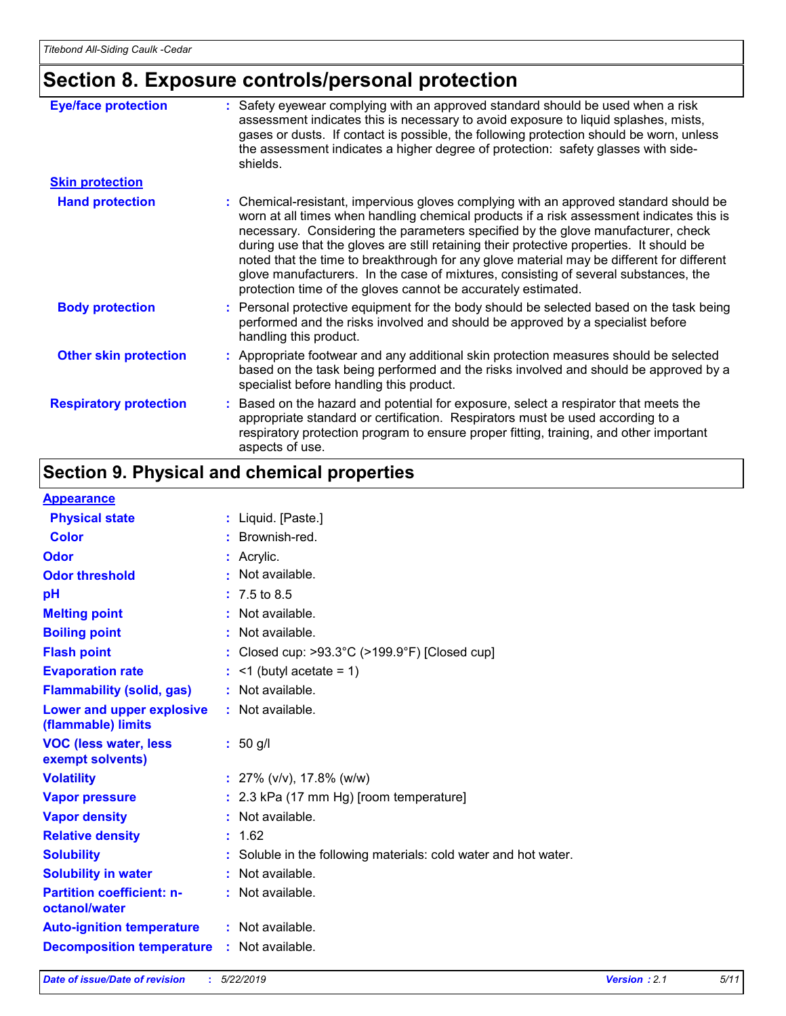### **Section 8. Exposure controls/personal protection**

| <b>Eye/face protection</b>    | : Safety eyewear complying with an approved standard should be used when a risk<br>assessment indicates this is necessary to avoid exposure to liquid splashes, mists,<br>gases or dusts. If contact is possible, the following protection should be worn, unless<br>the assessment indicates a higher degree of protection: safety glasses with side-<br>shields.                                                                                                                                                                                                                                                     |
|-------------------------------|------------------------------------------------------------------------------------------------------------------------------------------------------------------------------------------------------------------------------------------------------------------------------------------------------------------------------------------------------------------------------------------------------------------------------------------------------------------------------------------------------------------------------------------------------------------------------------------------------------------------|
| <b>Skin protection</b>        |                                                                                                                                                                                                                                                                                                                                                                                                                                                                                                                                                                                                                        |
| <b>Hand protection</b>        | : Chemical-resistant, impervious gloves complying with an approved standard should be<br>worn at all times when handling chemical products if a risk assessment indicates this is<br>necessary. Considering the parameters specified by the glove manufacturer, check<br>during use that the gloves are still retaining their protective properties. It should be<br>noted that the time to breakthrough for any glove material may be different for different<br>glove manufacturers. In the case of mixtures, consisting of several substances, the<br>protection time of the gloves cannot be accurately estimated. |
| <b>Body protection</b>        | : Personal protective equipment for the body should be selected based on the task being<br>performed and the risks involved and should be approved by a specialist before<br>handling this product.                                                                                                                                                                                                                                                                                                                                                                                                                    |
| <b>Other skin protection</b>  | : Appropriate footwear and any additional skin protection measures should be selected<br>based on the task being performed and the risks involved and should be approved by a<br>specialist before handling this product.                                                                                                                                                                                                                                                                                                                                                                                              |
| <b>Respiratory protection</b> | : Based on the hazard and potential for exposure, select a respirator that meets the<br>appropriate standard or certification. Respirators must be used according to a<br>respiratory protection program to ensure proper fitting, training, and other important<br>aspects of use.                                                                                                                                                                                                                                                                                                                                    |

### **Section 9. Physical and chemical properties**

#### **Appearance**

| <u>Mppuululivu</u>                                |                                                                    |
|---------------------------------------------------|--------------------------------------------------------------------|
| <b>Physical state</b>                             | : Liquid. [Paste.]                                                 |
| <b>Color</b>                                      | : Brownish-red.                                                    |
| Odor                                              | $:$ Acrylic.                                                       |
| <b>Odor threshold</b>                             | : Not available.                                                   |
| рH                                                | $: 7.5 \text{ to } 8.5$                                            |
| <b>Melting point</b>                              | : Not available.                                                   |
| <b>Boiling point</b>                              | : Not available.                                                   |
| <b>Flash point</b>                                | : Closed cup: $>93.3^{\circ}$ C ( $>199.9^{\circ}$ F) [Closed cup] |
| <b>Evaporation rate</b>                           | $:$ <1 (butyl acetate = 1)                                         |
| <b>Flammability (solid, gas)</b>                  | : Not available.                                                   |
| Lower and upper explosive<br>(flammable) limits   | : Not available.                                                   |
| <b>VOC (less water, less)</b><br>exempt solvents) | $: 50$ g/l                                                         |
| <b>Volatility</b>                                 | : $27\%$ (v/v), 17.8% (w/w)                                        |
| <b>Vapor pressure</b>                             | : 2.3 kPa (17 mm Hg) [room temperature]                            |
| <b>Vapor density</b>                              | : Not available.                                                   |
| <b>Relative density</b>                           | : 1.62                                                             |
| <b>Solubility</b>                                 | : Soluble in the following materials: cold water and hot water.    |
| <b>Solubility in water</b>                        | : Not available.                                                   |
| <b>Partition coefficient: n-</b><br>octanol/water | : Not available.                                                   |
| <b>Auto-ignition temperature</b>                  | : Not available.                                                   |
| <b>Decomposition temperature</b>                  | : Not available.                                                   |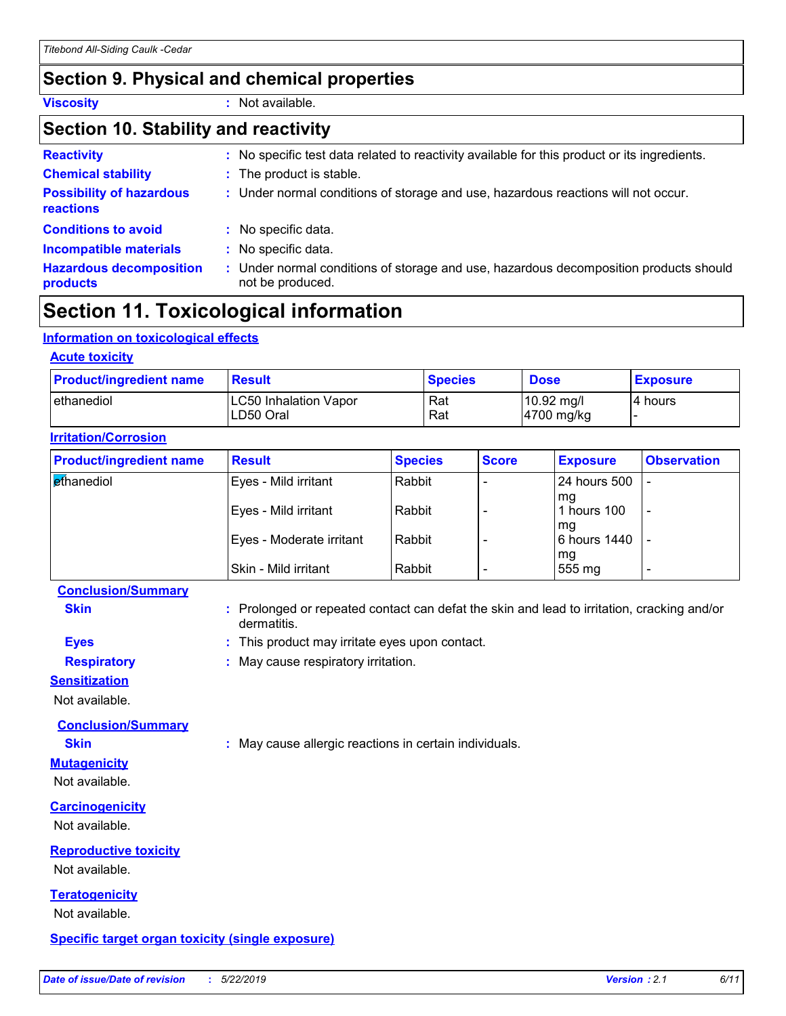### **Section 9. Physical and chemical properties**

**Viscosity :** Not available.

#### **Section 10. Stability and reactivity**

| <b>Reactivity</b>                                   | : No specific test data related to reactivity available for this product or its ingredients.              |
|-----------------------------------------------------|-----------------------------------------------------------------------------------------------------------|
| <b>Chemical stability</b>                           | : The product is stable.                                                                                  |
| <b>Possibility of hazardous</b><br><b>reactions</b> | : Under normal conditions of storage and use, hazardous reactions will not occur.                         |
| <b>Conditions to avoid</b>                          | : No specific data.                                                                                       |
| <b>Incompatible materials</b>                       | : No specific data.                                                                                       |
| <b>Hazardous decomposition</b><br>products          | : Under normal conditions of storage and use, hazardous decomposition products should<br>not be produced. |

### **Section 11. Toxicological information**

#### **Information on toxicological effects**

| <b>Acute toxicity</b>                      |                |                                                |                 |  |  |
|--------------------------------------------|----------------|------------------------------------------------|-----------------|--|--|
| <b>Result</b>                              | <b>Species</b> | <b>Dose</b>                                    | <b>Exposure</b> |  |  |
| <b>LC50 Inhalation Vapor</b><br>ILD50 Oral | Rat<br>Rat     | $10.92 \text{ mg/l}$<br>$ 4700 \text{ mg/kg} $ | I4 hours        |  |  |
|                                            |                |                                                |                 |  |  |

| <b>Product/ingredient name</b> | <b>Result</b>            | <b>Species</b> | <b>Score</b> | <b>Exposure</b>    | <b>Observation</b> |
|--------------------------------|--------------------------|----------------|--------------|--------------------|--------------------|
| <b>ethanediol</b>              | Eyes - Mild irritant     | Rabbit         |              | l 24 hours 500     |                    |
|                                | Eyes - Mild irritant     | Rabbit         |              | mq<br>l hours 100  | -                  |
|                                | Eyes - Moderate irritant | Rabbit         |              | mg<br>6 hours 1440 |                    |
|                                | Skin - Mild irritant     | Rabbit         |              | mg<br>555 mg       |                    |

#### **Conclusion/Summary**

**Skin Example 20 :** Prolonged or repeated contact can defat the skin and lead to irritation, cracking and/or dermatitis.

- **Eyes :** This product may irritate eyes upon contact.
- **Respiratory :** May cause respiratory irritation.

#### **Sensitization**

Not available.

**Conclusion/Summary**

**Skin :** May cause allergic reactions in certain individuals.

#### Not available.

**Mutagenicity**

**Carcinogenicity**

Not available.

### **Reproductive toxicity**

Not available.

### **Teratogenicity**

Not available.

#### **Specific target organ toxicity (single exposure)**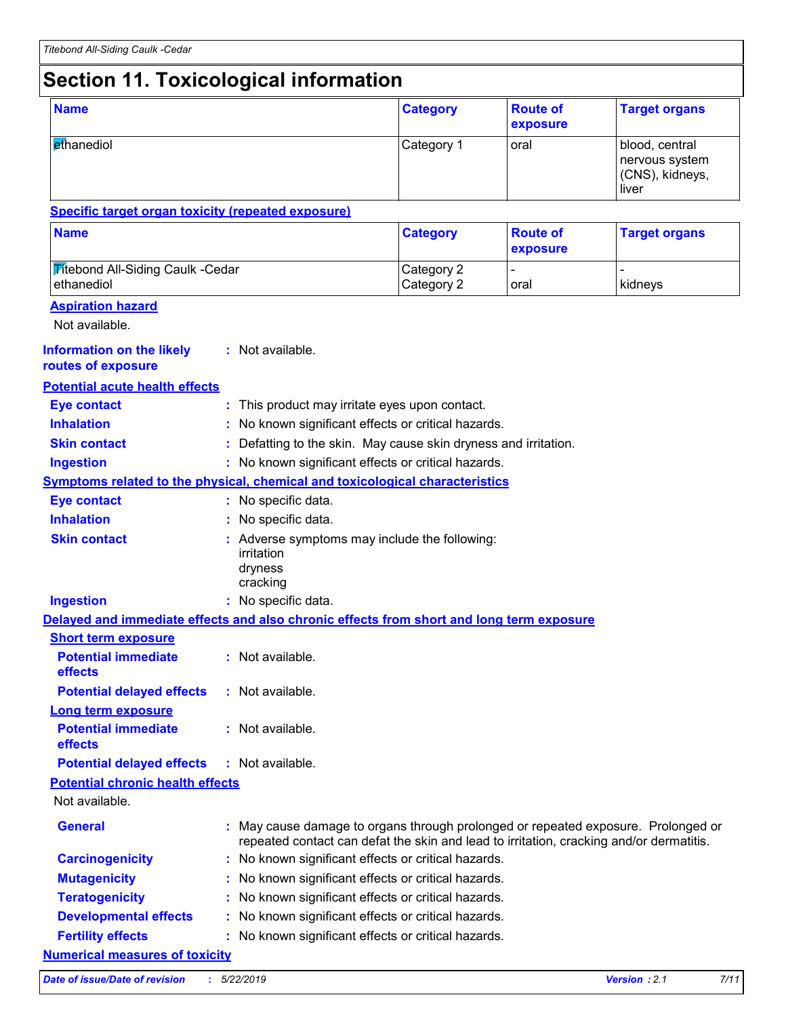### **Section 11. Toxicological information**

| <b>Name</b>                                                                              |  |                                                                                                                                                                              | <b>Category</b>                                               | <b>Route of</b><br>exposure | <b>Target organs</b>                                         |  |
|------------------------------------------------------------------------------------------|--|------------------------------------------------------------------------------------------------------------------------------------------------------------------------------|---------------------------------------------------------------|-----------------------------|--------------------------------------------------------------|--|
| ethanediol                                                                               |  |                                                                                                                                                                              | Category 1                                                    | oral                        | blood, central<br>nervous system<br>(CNS), kidneys,<br>liver |  |
| <b>Specific target organ toxicity (repeated exposure)</b>                                |  |                                                                                                                                                                              |                                                               |                             |                                                              |  |
| <b>Name</b>                                                                              |  |                                                                                                                                                                              | <b>Category</b>                                               | <b>Route of</b><br>exposure | <b>Target organs</b>                                         |  |
| <b>Titebond All-Siding Caulk -Cedar</b><br>ethanediol                                    |  |                                                                                                                                                                              | Category 2<br>Category 2                                      | oral                        | kidneys                                                      |  |
| <b>Aspiration hazard</b><br>Not available.                                               |  |                                                                                                                                                                              |                                                               |                             |                                                              |  |
| <b>Information on the likely</b><br>routes of exposure                                   |  | : Not available.                                                                                                                                                             |                                                               |                             |                                                              |  |
| <b>Potential acute health effects</b>                                                    |  |                                                                                                                                                                              |                                                               |                             |                                                              |  |
| <b>Eye contact</b>                                                                       |  | : This product may irritate eyes upon contact.                                                                                                                               |                                                               |                             |                                                              |  |
| <b>Inhalation</b>                                                                        |  | No known significant effects or critical hazards.                                                                                                                            |                                                               |                             |                                                              |  |
| <b>Skin contact</b>                                                                      |  |                                                                                                                                                                              | Defatting to the skin. May cause skin dryness and irritation. |                             |                                                              |  |
| <b>Ingestion</b>                                                                         |  | : No known significant effects or critical hazards.                                                                                                                          |                                                               |                             |                                                              |  |
| <b>Symptoms related to the physical, chemical and toxicological characteristics</b>      |  |                                                                                                                                                                              |                                                               |                             |                                                              |  |
| <b>Eye contact</b>                                                                       |  | : No specific data.                                                                                                                                                          |                                                               |                             |                                                              |  |
| <b>Inhalation</b>                                                                        |  | : No specific data.                                                                                                                                                          |                                                               |                             |                                                              |  |
| <b>Skin contact</b>                                                                      |  | : Adverse symptoms may include the following:<br>irritation<br>dryness<br>cracking                                                                                           |                                                               |                             |                                                              |  |
| <b>Ingestion</b>                                                                         |  | : No specific data.                                                                                                                                                          |                                                               |                             |                                                              |  |
| Delayed and immediate effects and also chronic effects from short and long term exposure |  |                                                                                                                                                                              |                                                               |                             |                                                              |  |
|                                                                                          |  |                                                                                                                                                                              |                                                               |                             |                                                              |  |
|                                                                                          |  |                                                                                                                                                                              |                                                               |                             |                                                              |  |
| <b>Short term exposure</b><br><b>Potential immediate</b><br>effects                      |  | : Not available.                                                                                                                                                             |                                                               |                             |                                                              |  |
| <b>Potential delayed effects</b>                                                         |  | : Not available.                                                                                                                                                             |                                                               |                             |                                                              |  |
|                                                                                          |  |                                                                                                                                                                              |                                                               |                             |                                                              |  |
| <b>Long term exposure</b><br><b>Potential immediate</b><br>effects                       |  | : Not available.                                                                                                                                                             |                                                               |                             |                                                              |  |
| <b>Potential delayed effects</b>                                                         |  | : Not available.                                                                                                                                                             |                                                               |                             |                                                              |  |
|                                                                                          |  |                                                                                                                                                                              |                                                               |                             |                                                              |  |
| <b>Potential chronic health effects</b><br>Not available.                                |  |                                                                                                                                                                              |                                                               |                             |                                                              |  |
| <b>General</b>                                                                           |  | : May cause damage to organs through prolonged or repeated exposure. Prolonged or<br>repeated contact can defat the skin and lead to irritation, cracking and/or dermatitis. |                                                               |                             |                                                              |  |
| <b>Carcinogenicity</b>                                                                   |  | No known significant effects or critical hazards.                                                                                                                            |                                                               |                             |                                                              |  |
| <b>Mutagenicity</b>                                                                      |  | No known significant effects or critical hazards.                                                                                                                            |                                                               |                             |                                                              |  |
| <b>Teratogenicity</b>                                                                    |  | No known significant effects or critical hazards.                                                                                                                            |                                                               |                             |                                                              |  |
| <b>Developmental effects</b>                                                             |  | No known significant effects or critical hazards.                                                                                                                            |                                                               |                             |                                                              |  |

*Date of issue/Date of revision* **:** *5/22/2019 Version : 2.1 7/11*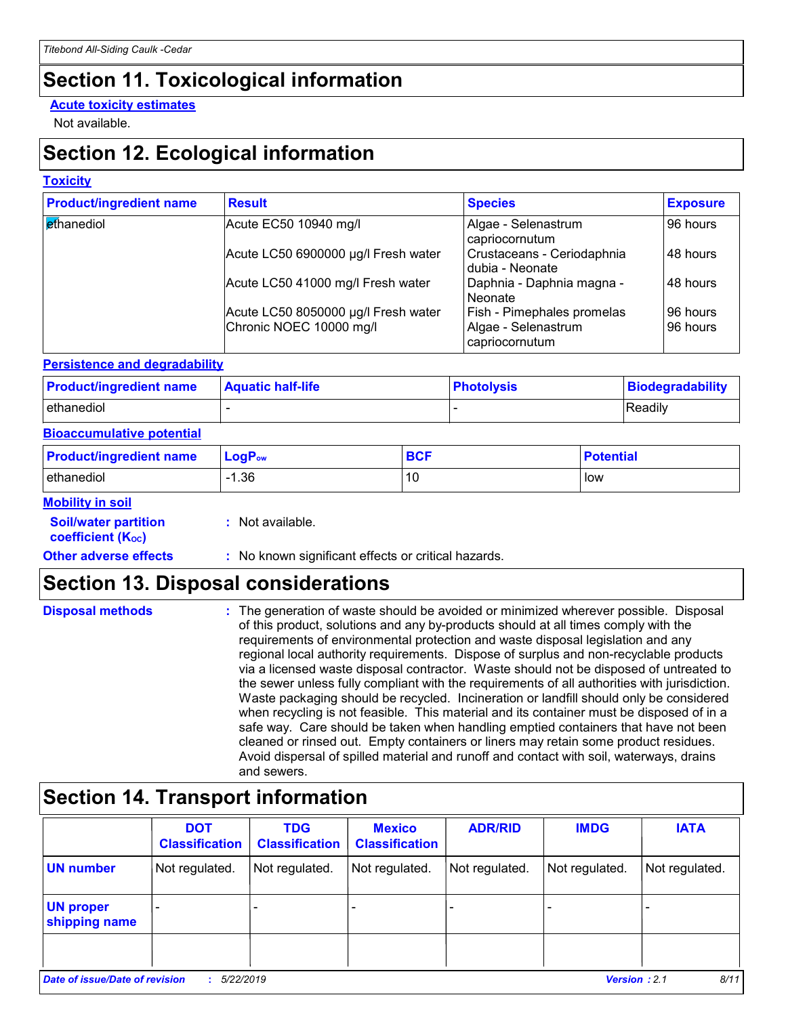### **Section 11. Toxicological information**

#### **Acute toxicity estimates**

Not available.

### **Section 12. Ecological information**

#### **Toxicity**

| <b>Product/ingredient name</b> | <b>Result</b>                       | <b>Species</b>                                | <b>Exposure</b> |
|--------------------------------|-------------------------------------|-----------------------------------------------|-----------------|
| ethanediol                     | Acute EC50 10940 mg/l               | Algae - Selenastrum<br>capriocornutum         | 96 hours        |
|                                | Acute LC50 6900000 µg/l Fresh water | Crustaceans - Ceriodaphnia<br>dubia - Neonate | 48 hours        |
|                                | Acute LC50 41000 mg/l Fresh water   | Daphnia - Daphnia magna -<br>Neonate          | 48 hours        |
|                                | Acute LC50 8050000 µg/l Fresh water | <b>Fish - Pimephales promelas</b>             | 96 hours        |
|                                | Chronic NOEC 10000 mg/l             | Algae - Selenastrum<br>capriocornutum         | 96 hours        |

#### **Persistence and degradability**

| <b>Product/ingredient name</b> | <b>Aquatic half-life</b> | <b>Photolysis</b> | Biodegradability |
|--------------------------------|--------------------------|-------------------|------------------|
| ethanediol                     |                          |                   | Readily          |

#### **Bioaccumulative potential**

| <b>Product/ingredient name</b> | $LogP_{ow}$ | <b>BCL</b><br>ov. | <b>Potential</b> |
|--------------------------------|-------------|-------------------|------------------|
| ethanediol                     | .36         | 10                | low              |

#### **Mobility in soil**

| <b>Soil/water partition</b> |  |
|-----------------------------|--|
| <b>coefficient (Koc)</b>    |  |

**:** Not available.

**Other adverse effects** : No known significant effects or critical hazards.

### **Section 13. Disposal considerations**

| <b>Disposal methods</b> | : The generation of waste should be avoided or minimized wherever possible. Disposal<br>of this product, solutions and any by-products should at all times comply with the<br>requirements of environmental protection and waste disposal legislation and any<br>regional local authority requirements. Dispose of surplus and non-recyclable products<br>via a licensed waste disposal contractor. Waste should not be disposed of untreated to<br>the sewer unless fully compliant with the requirements of all authorities with jurisdiction.<br>Waste packaging should be recycled. Incineration or landfill should only be considered<br>when recycling is not feasible. This material and its container must be disposed of in a<br>safe way. Care should be taken when handling emptied containers that have not been<br>cleaned or rinsed out. Empty containers or liners may retain some product residues. |
|-------------------------|---------------------------------------------------------------------------------------------------------------------------------------------------------------------------------------------------------------------------------------------------------------------------------------------------------------------------------------------------------------------------------------------------------------------------------------------------------------------------------------------------------------------------------------------------------------------------------------------------------------------------------------------------------------------------------------------------------------------------------------------------------------------------------------------------------------------------------------------------------------------------------------------------------------------|
|                         | Avoid dispersal of spilled material and runoff and contact with soil, waterways, drains<br>and sewers.                                                                                                                                                                                                                                                                                                                                                                                                                                                                                                                                                                                                                                                                                                                                                                                                              |

### **Section 14. Transport information**

|                                   | <b>DOT</b><br><b>Classification</b>                                        | <b>TDG</b><br><b>Classification</b> | <b>Mexico</b><br><b>Classification</b> | <b>ADR/RID</b> | <b>IMDG</b>    | <b>IATA</b>    |
|-----------------------------------|----------------------------------------------------------------------------|-------------------------------------|----------------------------------------|----------------|----------------|----------------|
| <b>UN number</b>                  | Not regulated.                                                             | Not regulated.                      | Not regulated.                         | Not regulated. | Not regulated. | Not regulated. |
| <b>UN proper</b><br>shipping name |                                                                            |                                     |                                        |                |                |                |
|                                   |                                                                            |                                     |                                        |                |                |                |
|                                   | 8/11<br>Date of issue/Date of revision<br><b>Version: 2.1</b><br>5/22/2019 |                                     |                                        |                |                |                |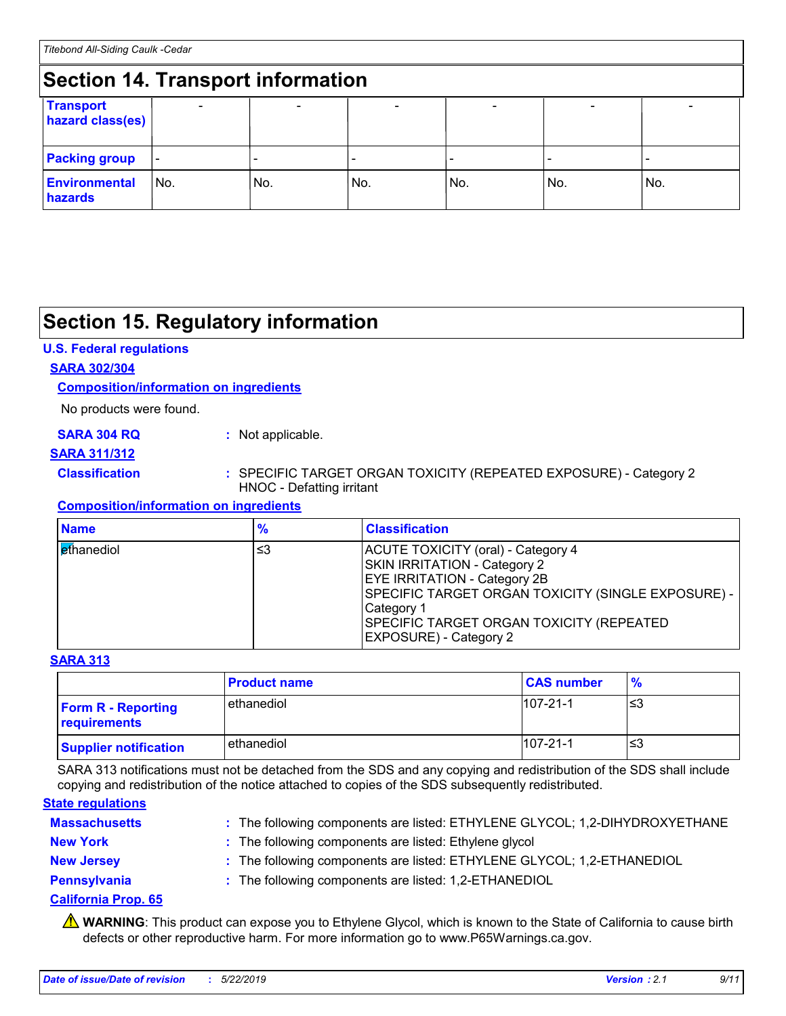#### **Section 14. Transport information** - - - - - - **Transport hazard class(es) Packing group Environmental hazards** No. No. No. - No. - No. - No.

### **Section 15. Regulatory information**

#### **U.S. Federal regulations**

#### **SARA 302/304**

#### **Composition/information on ingredients**

No products were found.

#### **SARA 304 RQ :** Not applicable.

#### **SARA 311/312**

#### **Classification :** SPECIFIC TARGET ORGAN TOXICITY (REPEATED EXPOSURE) - Category 2 HNOC - Defatting irritant

#### **Composition/information on ingredients**

| <b>Name</b>                | $\frac{9}{6}$ | <b>Classification</b>                                                                                                                                                                                                                                             |
|----------------------------|---------------|-------------------------------------------------------------------------------------------------------------------------------------------------------------------------------------------------------------------------------------------------------------------|
| l <mark>et</mark> hanediol | ≤3            | ACUTE TOXICITY (oral) - Category 4<br><b>SKIN IRRITATION - Category 2</b><br><b>EYE IRRITATION - Category 2B</b><br>SPECIFIC TARGET ORGAN TOXICITY (SINGLE EXPOSURE) -<br>Category 1<br>SPECIFIC TARGET ORGAN TOXICITY (REPEATED<br><b>EXPOSURE) - Category 2</b> |

#### **SARA 313**

|                                           | <b>Product name</b> | <b>CAS number</b> | $\frac{9}{6}$ |
|-------------------------------------------|---------------------|-------------------|---------------|
| <b>Form R - Reporting</b><br>requirements | ethanediol          | $107 - 21 - 1$    | נ≥ו           |
| <b>Supplier notification</b>              | ethanediol          | $107 - 21 - 1$    | '≤3           |

SARA 313 notifications must not be detached from the SDS and any copying and redistribution of the SDS shall include copying and redistribution of the notice attached to copies of the SDS subsequently redistributed.

#### **State regulations**

| <b>Massachusetts</b> | : The following components are listed: ETHYLENE GLYCOL; 1,2-DIHYDROXYETHANE |
|----------------------|-----------------------------------------------------------------------------|
| <b>New York</b>      | : The following components are listed: Ethylene glycol                      |
| <b>New Jersey</b>    | : The following components are listed: ETHYLENE GLYCOL; 1,2-ETHANEDIOL      |
| Pennsylvania         | : The following components are listed: 1,2-ETHANEDIOL                       |

#### **California Prop. 65**

**A** WARNING: This product can expose you to Ethylene Glycol, which is known to the State of California to cause birth defects or other reproductive harm. For more information go to www.P65Warnings.ca.gov.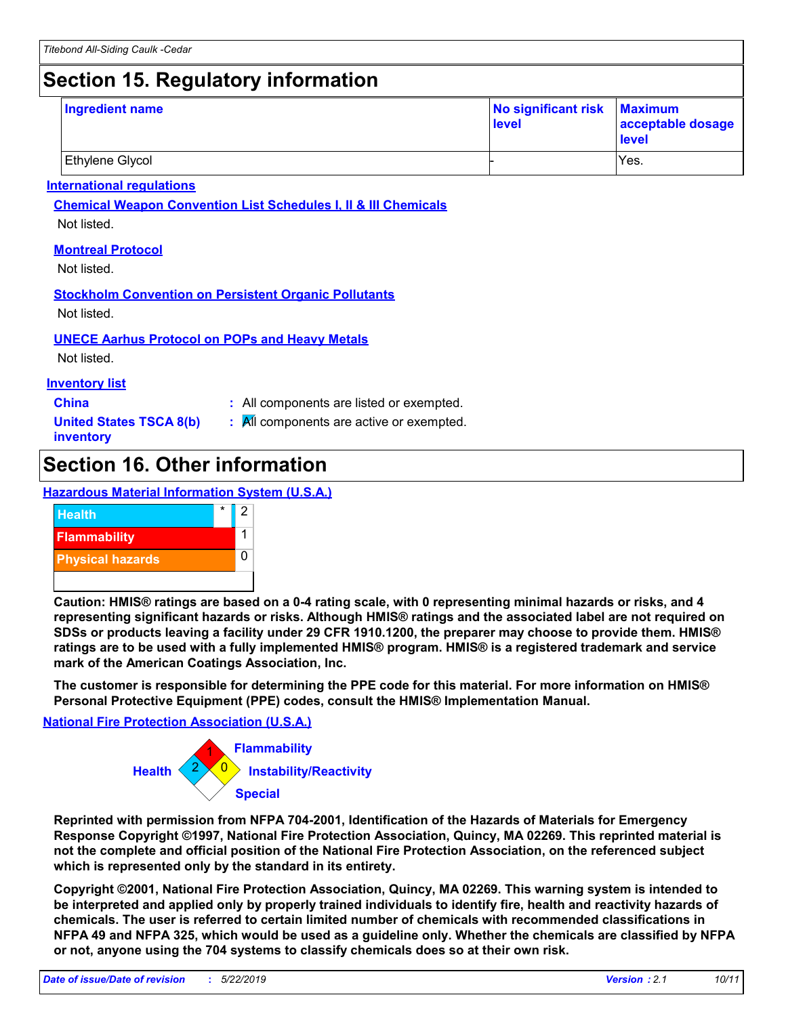### **Section 15. Regulatory information**

| <b>Ingredient name</b> | No significant risk Maximum<br>level | acceptable dosage<br><b>level</b> |
|------------------------|--------------------------------------|-----------------------------------|
| Ethylene Glycol        |                                      | Yes.                              |

#### **International regulations**

**Chemical Weapon Convention List Schedules I, II & III Chemicals**

Not listed.

#### **Montreal Protocol**

Not listed.

#### **Stockholm Convention on Persistent Organic Pollutants**

Not listed.

#### **UNECE Aarhus Protocol on POPs and Heavy Metals**

Not listed.

#### **Inventory list**

- **China :** All components are listed or exempted.
- **United States TSCA 8(b) inventory**
- **:** All components are active or exempted.

### **Section 16. Other information**

#### **Hazardous Material Information System (U.S.A.)**



**Caution: HMIS® ratings are based on a 0-4 rating scale, with 0 representing minimal hazards or risks, and 4 representing significant hazards or risks. Although HMIS® ratings and the associated label are not required on SDSs or products leaving a facility under 29 CFR 1910.1200, the preparer may choose to provide them. HMIS® ratings are to be used with a fully implemented HMIS® program. HMIS® is a registered trademark and service mark of the American Coatings Association, Inc.**

**The customer is responsible for determining the PPE code for this material. For more information on HMIS® Personal Protective Equipment (PPE) codes, consult the HMIS® Implementation Manual.**

#### **National Fire Protection Association (U.S.A.)**



**Reprinted with permission from NFPA 704-2001, Identification of the Hazards of Materials for Emergency Response Copyright ©1997, National Fire Protection Association, Quincy, MA 02269. This reprinted material is not the complete and official position of the National Fire Protection Association, on the referenced subject which is represented only by the standard in its entirety.**

**Copyright ©2001, National Fire Protection Association, Quincy, MA 02269. This warning system is intended to be interpreted and applied only by properly trained individuals to identify fire, health and reactivity hazards of chemicals. The user is referred to certain limited number of chemicals with recommended classifications in NFPA 49 and NFPA 325, which would be used as a guideline only. Whether the chemicals are classified by NFPA or not, anyone using the 704 systems to classify chemicals does so at their own risk.**